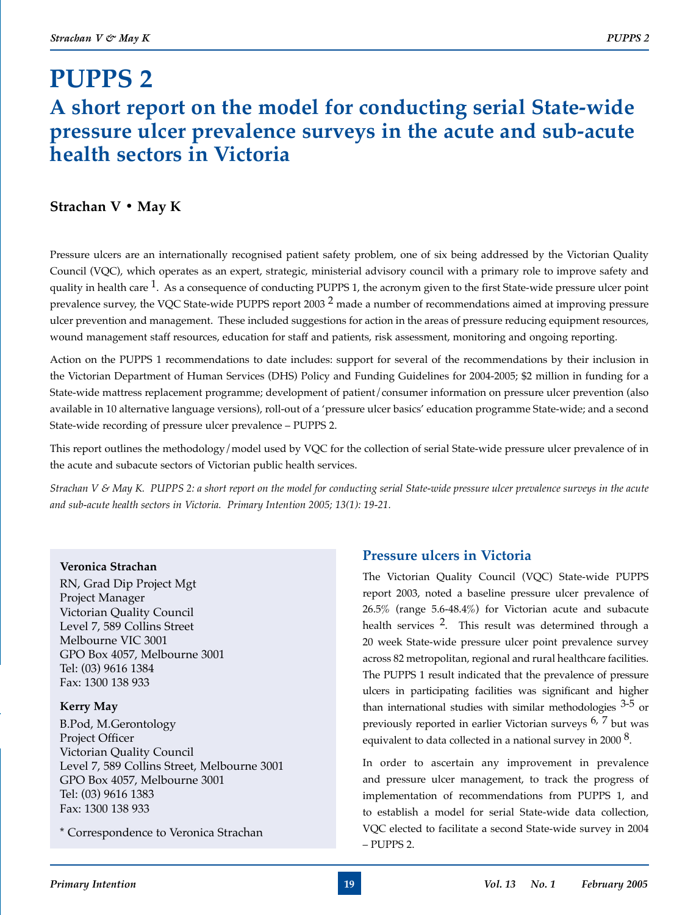# **PUPPS 2 A short report on the model for conducting serial State-wide pressure ulcer prevalence surveys in the acute and sub-acute health sectors in Victoria**

## **Strachan V • May K**

Pressure ulcers are an internationally recognised patient safety problem, one of six being addressed by the Victorian Quality Council (VQC), which operates as an expert, strategic, ministerial advisory council with a primary role to improve safety and quality in health care  $1$ . As a consequence of conducting PUPPS 1, the acronym given to the first State-wide pressure ulcer point prevalence survey, the VQC State-wide PUPPS report 2003  $^2$  made a number of recommendations aimed at improving pressure ulcer prevention and management. These included suggestions for action in the areas of pressure reducing equipment resources, wound management staff resources, education for staff and patients, risk assessment, monitoring and ongoing reporting.

Action on the PUPPS 1 recommendations to date includes: support for several of the recommendations by their inclusion in the Victorian Department of Human Services (DHS) Policy and Funding Guidelines for 2004-2005; \$2 million in funding for a State-wide mattress replacement programme; development of patient/consumer information on pressure ulcer prevention (also available in 10 alternative language versions), roll-out of a 'pressure ulcer basics' education programme State-wide; and a second State-wide recording of pressure ulcer prevalence – PUPPS 2.

This report outlines the methodology/model used by VQC for the collection of serial State-wide pressure ulcer prevalence of in the acute and subacute sectors of Victorian public health services.

*Strachan V & May K. PUPPS 2: a short report on the model for conducting serial State-wide pressure ulcer prevalence surveys in the acute and sub-acute health sectors in Victoria. Primary Intention 2005; 13(1): 19-21.*

## **Veronica Strachan**

RN, Grad Dip Project Mgt Project Manager Victorian Quality Council Level 7, 589 Collins Street Melbourne VIC 3001 GPO Box 4057, Melbourne 3001 Tel: (03) 9616 1384 Fax: 1300 138 933

## **Kerry May**

B.Pod, M.Gerontology Project Officer Victorian Quality Council Level 7, 589 Collins Street, Melbourne 3001 GPO Box 4057, Melbourne 3001 Tel: (03) 9616 1383 Fax: 1300 138 933

\* Correspondence to Veronica Strachan

# **Pressure ulcers in Victoria**

The Victorian Quality Council (VQC) State-wide PUPPS report 2003, noted a baseline pressure ulcer prevalence of 26.5% (range 5.6-48.4%) for Victorian acute and subacute health services 2. This result was determined through a 20 week State-wide pressure ulcer point prevalence survey across 82 metropolitan, regional and rural healthcare facilities. The PUPPS 1 result indicated that the prevalence of pressure ulcers in participating facilities was significant and higher than international studies with similar methodologies  $3-5$  or previously reported in earlier Victorian surveys 6, 7 but was equivalent to data collected in a national survey in 2000  $\delta$ .

In order to ascertain any improvement in prevalence and pressure ulcer management, to track the progress of implementation of recommendations from PUPPS 1, and to establish a model for serial State-wide data collection, VQC elected to facilitate a second State-wide survey in 2004 – PUPPS 2.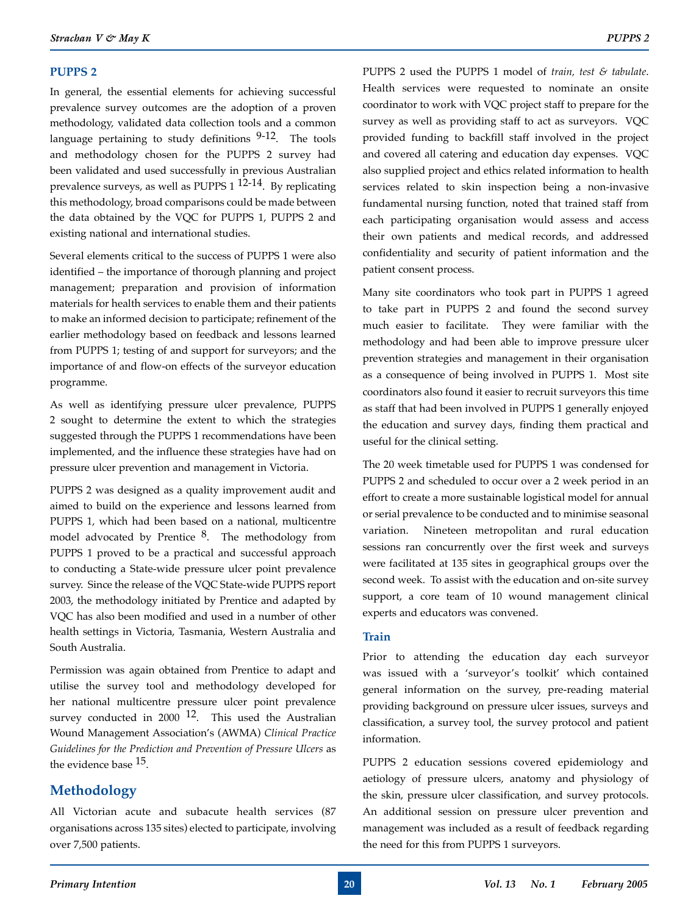#### **PUPPS 2**

In general, the essential elements for achieving successful prevalence survey outcomes are the adoption of a proven methodology, validated data collection tools and a common language pertaining to study definitions  $9-12$ . The tools and methodology chosen for the PUPPS 2 survey had been validated and used successfully in previous Australian prevalence surveys, as well as PUPPS 1 12-14. By replicating this methodology, broad comparisons could be made between the data obtained by the VQC for PUPPS 1, PUPPS 2 and existing national and international studies.

Several elements critical to the success of PUPPS 1 were also identified – the importance of thorough planning and project management; preparation and provision of information materials for health services to enable them and their patients to make an informed decision to participate; refinement of the earlier methodology based on feedback and lessons learned from PUPPS 1; testing of and support for surveyors; and the importance of and flow-on effects of the surveyor education programme.

As well as identifying pressure ulcer prevalence, PUPPS 2 sought to determine the extent to which the strategies suggested through the PUPPS 1 recommendations have been implemented, and the influence these strategies have had on pressure ulcer prevention and management in Victoria.

PUPPS 2 was designed as a quality improvement audit and aimed to build on the experience and lessons learned from PUPPS 1, which had been based on a national, multicentre model advocated by Prentice  $8$ . The methodology from PUPPS 1 proved to be a practical and successful approach to conducting a State-wide pressure ulcer point prevalence survey. Since the release of the VQC State-wide PUPPS report 2003, the methodology initiated by Prentice and adapted by VQC has also been modified and used in a number of other health settings in Victoria, Tasmania, Western Australia and South Australia.

Permission was again obtained from Prentice to adapt and utilise the survey tool and methodology developed for her national multicentre pressure ulcer point prevalence survey conducted in 2000  $12$ . This used the Australian Wound Management Association's (AWMA) *Clinical Practice Guidelines for the Prediction and Prevention of Pressure Ulcers* as the evidence base <sup>15</sup>.

## **Methodology**

All Victorian acute and subacute health services (87 organisations across 135 sites) elected to participate, involving over 7,500 patients.

PUPPS 2 used the PUPPS 1 model of *train, test & tabulate*. Health services were requested to nominate an onsite coordinator to work with VQC project staff to prepare for the survey as well as providing staff to act as surveyors. VQC provided funding to backfill staff involved in the project and covered all catering and education day expenses. VQC also supplied project and ethics related information to health services related to skin inspection being a non-invasive fundamental nursing function, noted that trained staff from each participating organisation would assess and access their own patients and medical records, and addressed confidentiality and security of patient information and the patient consent process.

Many site coordinators who took part in PUPPS 1 agreed to take part in PUPPS 2 and found the second survey much easier to facilitate. They were familiar with the methodology and had been able to improve pressure ulcer prevention strategies and management in their organisation as a consequence of being involved in PUPPS 1. Most site coordinators also found it easier to recruit surveyors this time as staff that had been involved in PUPPS 1 generally enjoyed the education and survey days, finding them practical and useful for the clinical setting.

The 20 week timetable used for PUPPS 1 was condensed for PUPPS 2 and scheduled to occur over a 2 week period in an effort to create a more sustainable logistical model for annual or serial prevalence to be conducted and to minimise seasonal variation. Nineteen metropolitan and rural education sessions ran concurrently over the first week and surveys were facilitated at 135 sites in geographical groups over the second week. To assist with the education and on-site survey support, a core team of 10 wound management clinical experts and educators was convened.

#### **Train**

Prior to attending the education day each surveyor was issued with a 'surveyor's toolkit' which contained general information on the survey, pre-reading material providing background on pressure ulcer issues, surveys and classification, a survey tool, the survey protocol and patient information.

PUPPS 2 education sessions covered epidemiology and aetiology of pressure ulcers, anatomy and physiology of the skin, pressure ulcer classification, and survey protocols. An additional session on pressure ulcer prevention and management was included as a result of feedback regarding the need for this from PUPPS 1 surveyors.